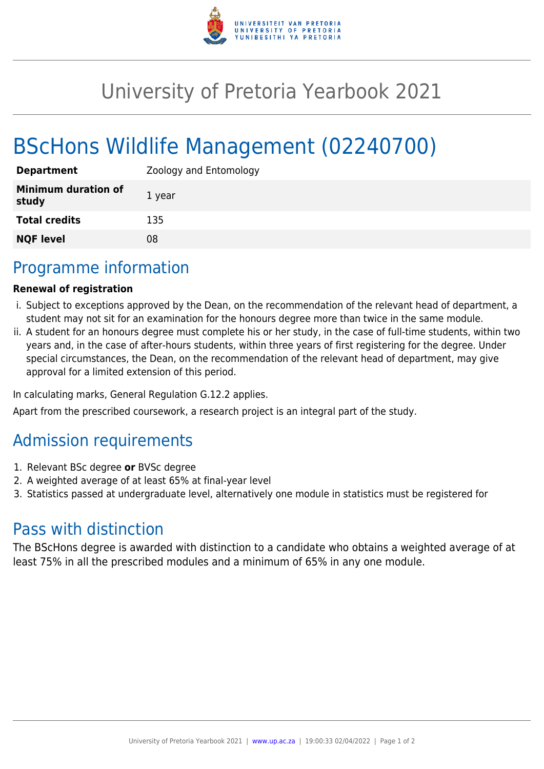

## University of Pretoria Yearbook 2021

# BScHons Wildlife Management (02240700)

| <b>Department</b>                   | Zoology and Entomology |
|-------------------------------------|------------------------|
| <b>Minimum duration of</b><br>study | 1 year                 |
| <b>Total credits</b>                | 135                    |
| <b>NQF level</b>                    | 08                     |

### Programme information

#### **Renewal of registration**

- i. Subject to exceptions approved by the Dean, on the recommendation of the relevant head of department, a student may not sit for an examination for the honours degree more than twice in the same module.
- ii. A student for an honours degree must complete his or her study, in the case of full-time students, within two years and, in the case of after-hours students, within three years of first registering for the degree. Under special circumstances, the Dean, on the recommendation of the relevant head of department, may give approval for a limited extension of this period.

In calculating marks, General Regulation G.12.2 applies.

Apart from the prescribed coursework, a research project is an integral part of the study.

## Admission requirements

- 1. Relevant BSc degree **or** BVSc degree
- 2. A weighted average of at least 65% at final-year level
- 3. Statistics passed at undergraduate level, alternatively one module in statistics must be registered for

#### Pass with distinction

The BScHons degree is awarded with distinction to a candidate who obtains a weighted average of at least 75% in all the prescribed modules and a minimum of 65% in any one module.